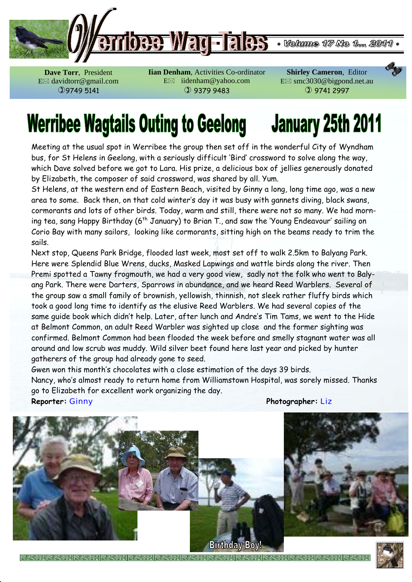

**Dave Torr**, President E davidtorr@gmail.com 9749 5141

**Iian Denham**, Activities Co-ordinator E iidenham@yahoo.com  9379 9483

**Shirley Cameron**, Editor E smc3030@bigpond.net.au  9741 2997

# **Werribee Wagtails Outing to Geelong January 25th 2011**

Meeting at the usual spot in Werribee the group then set off in the wonderful City of Wyndham bus, for St Helens in Geelong, with a seriously difficult 'Bird' crossword to solve along the way, which Dave solved before we got to Lara. His prize, a delicious box of jellies generously donated by Elizabeth, the composer of said crossword, was shared by all. Yum.

St Helens, at the western end of Eastern Beach, visited by Ginny a long, long time ago, was a new area to some. Back then, on that cold winter's day it was busy with gannets diving, black swans, cormorants and lots of other birds. Today, warm and still, there were not so many. We had morning tea, sang Happy Birthday ( $6^{th}$  January) to Brian T., and saw the 'Young Endeavour' sailing on Corio Bay with many sailors, looking like cormorants, sitting high on the beams ready to trim the sails.

Next stop, Queens Park Bridge, flooded last week, most set off to walk 2.5km to Balyang Park. Here were Splendid Blue Wrens, ducks, Masked Lapwings and wattle birds along the river. Then Premi spotted a Tawny frogmouth, we had a very good view, sadly not the folk who went to Balyang Park. There were Darters, Sparrows in abundance, and we heard Reed Warblers. Several of the group saw a small family of brownish, yellowish, thinnish, not sleek rather fluffy birds which took a good long time to identify as the elusive Reed Warblers. We had several copies of the same guide book which didn't help. Later, after lunch and Andre's Tim Tams, we went to the Hide at Belmont Common, an adult Reed Warbler was sighted up close and the former sighting was confirmed. Belmont Common had been flooded the week before and smelly stagnant water was all around and low scrub was muddy. Wild silver beet found here last year and picked by hunter gatherers of the group had already gone to seed.

Gwen won this month's chocolates with a close estimation of the days 39 birds. Nancy, who's almost ready to return home from Williamstown Hospital, was sorely missed. Thanks go to Elizabeth for excellent work organizing the day. **Reporter:** Ginny **Photographer:** Liz



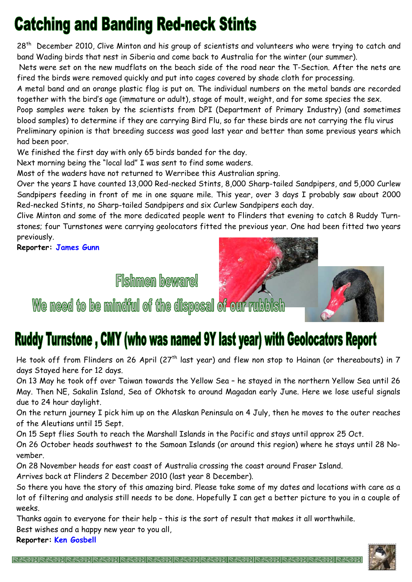## **Catching and Banding Red-neck Stints**

28<sup>th</sup> December 2010, Clive Minton and his group of scientists and volunteers who were trying to catch and band Wading birds that nest in Siberia and come back to Australia for the winter (our summer).

 Nets were set on the new mudflats on the beach side of the road near the T-Section. After the nets are fired the birds were removed quickly and put into cages covered by shade cloth for processing.

A metal band and an orange plastic flag is put on. The individual numbers on the metal bands are recorded together with the bird's age (immature or adult), stage of moult, weight, and for some species the sex.

Poop samples were taken by the scientists from DPI (Department of Primary Industry) (and sometimes blood samples) to determine if they are carrying Bird Flu, so far these birds are not carrying the flu virus Preliminary opinion is that breeding success was good last year and better than some previous years which had been poor.

We finished the first day with only 65 birds banded for the day.

Next morning being the "local lad" I was sent to find some waders.

Most of the waders have not returned to Werribee this Australian spring.

Over the years I have counted 13,000 Red-necked Stints, 8,000 Sharp-tailed Sandpipers, and 5,000 Curlew Sandpipers feeding in front of me in one square mile. This year, over 3 days I probably saw about 2000 Red-necked Stints, no Sharp-tailed Sandpipers and six Curlew Sandpipers each day.

Clive Minton and some of the more dedicated people went to Flinders that evening to catch 8 Ruddy Turnstones; four Turnstones were carrying geolocators fitted the previous year. One had been fitted two years previously.

**Reporter: James Gunn**

**Fishmen beware!** 



### Ruddy Turnstone, CMY (who was named 9Y last year) with Geolocators Report

He took off from Flinders on 26 April (27<sup>th</sup> last year) and flew non stop to Hainan (or thereabouts) in 7 days Stayed here for 12 days.

On 13 May he took off over Taiwan towards the Yellow Sea – he stayed in the northern Yellow Sea until 26 May. Then NE, Sakalin Island, Sea of Okhotsk to around Magadan early June. Here we lose useful signals due to 24 hour daylight.

On the return journey I pick him up on the Alaskan Peninsula on 4 July, then he moves to the outer reaches of the Aleutians until 15 Sept.

On 15 Sept flies South to reach the Marshall Islands in the Pacific and stays until approx 25 Oct.

On 26 October heads southwest to the Samoan Islands (or around this region) where he stays until 28 November.

On 28 November heads for east coast of Australia crossing the coast around Fraser Island.

Arrives back at Flinders 2 December 2010 (last year 8 December).

So there you have the story of this amazing bird. Please take some of my dates and locations with care as a lot of filtering and analysis still needs to be done. Hopefully I can get a better picture to you in a couple of weeks.

Thanks again to everyone for their help – this is the sort of result that makes it all worthwhile. Best wishes and a happy new year to you all,

**Reporter: Ken Gosbell**

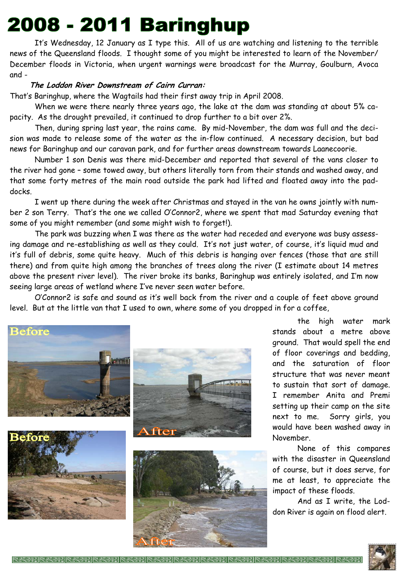## 2008 - 2011 Baringhup

It's Wednesday, 12 January as I type this. All of us are watching and listening to the terrible news of the Queensland floods. I thought some of you might be interested to learn of the November/ December floods in Victoria, when urgent warnings were broadcast for the Murray, Goulburn, Avoca and -

#### **The Loddon River Downstream of Cairn Curran:**

That's Baringhup, where the Wagtails had their first away trip in April 2008.

When we were there nearly three years ago, the lake at the dam was standing at about 5% capacity. As the drought prevailed, it continued to drop further to a bit over 2%.

Then, during spring last year, the rains came. By mid-November, the dam was full and the decision was made to release some of the water as the in-flow continued. A necessary decision, but bad news for Baringhup and our caravan park, and for further areas downstream towards Laanecoorie.

Number 1 son Denis was there mid-December and reported that several of the vans closer to the river had gone – some towed away, but others literally torn from their stands and washed away, and that some forty metres of the main road outside the park had lifted and floated away into the paddocks.

I went up there during the week after Christmas and stayed in the van he owns jointly with number 2 son Terry. That's the one we called O'Connor2, where we spent that mad Saturday evening that some of you might remember (and some might wish to forget!).

The park was buzzing when I was there as the water had receded and everyone was busy assessing damage and re-establishing as well as they could. It's not just water, of course, it's liquid mud and it's full of debris, some quite heavy. Much of this debris is hanging over fences (those that are still there) and from quite high among the branches of trees along the river (I estimate about 14 metres above the present river level). The river broke its banks, Baringhup was entirely isolated, and I'm now seeing large areas of wetland where I've never seen water before.

O'Connor2 is safe and sound as it's well back from the river and a couple of feet above ground level. But at the little van that I used to own, where some of you dropped in for a coffee,









the high water mark stands about a metre above ground. That would spell the end of floor coverings and bedding, and the saturation of floor structure that was never meant to sustain that sort of damage. I remember Anita and Premi setting up their camp on the site next to me. Sorry girls, you would have been washed away in November.

None of this compares with the disaster in Queensland of course, but it does serve, for me at least, to appreciate the impact of these floods.

And as I write, the Loddon River is again on flood alert.